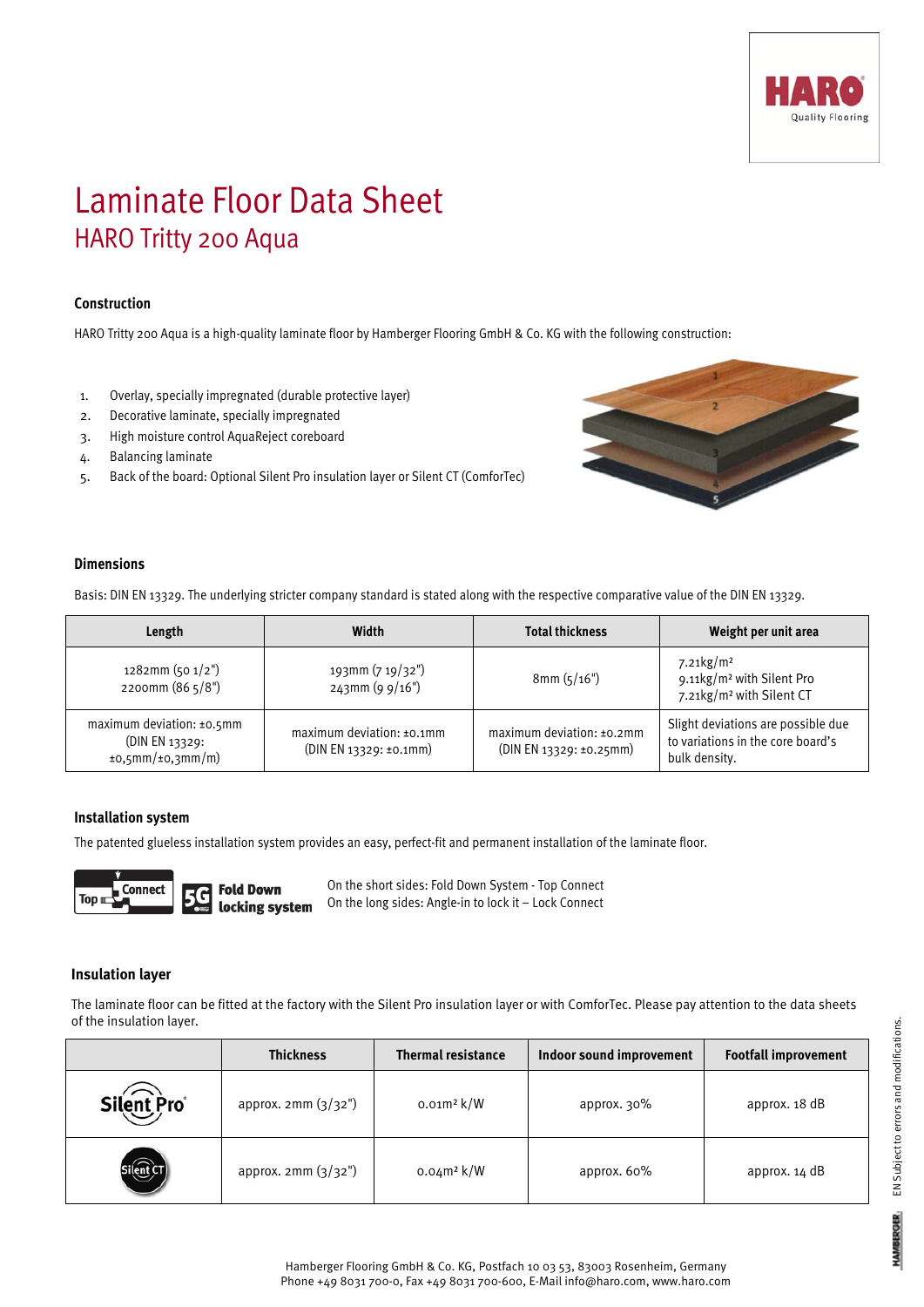

# Laminate Floor Data Sheet HARO Tritty 200 Aqua

## **Construction**

HARO Tritty 200 Aqua is a high-quality laminate floor by Hamberger Flooring GmbH & Co. KG with the following construction:

- 1. Overlay, specially impregnated (durable protective layer)
- 2. Decorative laminate, specially impregnated
- 3. High moisture control AquaReject coreboard
- 4. Balancing laminate
- 5. Back of the board: Optional Silent Pro insulation layer or Silent CT (ComforTec)



## **Dimensions**

Basis: DIN EN 13329. The underlying stricter company standard is stated along with the respective comparative value of the DIN EN 13329.

| Length                                                                     | Width                                                  | <b>Total thickness</b>                                  | Weight per unit area                                                                                     |
|----------------------------------------------------------------------------|--------------------------------------------------------|---------------------------------------------------------|----------------------------------------------------------------------------------------------------------|
| $1282$ mm (50 $1/2$ ")<br>2200mm (86 5/8")                                 | 193mm (7 19/32")<br>$243$ mm (9 9/16")                 | 8mm(5/16")                                              | $7.21\,\mathrm{kg/m^2}$<br>9.11kg/m <sup>2</sup> with Silent Pro<br>7.21kg/m <sup>2</sup> with Silent CT |
| maximum deviation: ±0.5mm<br>(DIN EN 13329:<br>$\pm$ 0,5mm/ $\pm$ 0,3mm/m) | maximum deviation: $±0.1$ mm<br>(DIN EN 13329: ±0.1mm) | maximum deviation: $±0.2$ mm<br>(DIN EN 13329: ±0.25mm) | Slight deviations are possible due<br>to variations in the core board's<br>bulk density.                 |

#### **Installation system**

The patented glueless installation system provides an easy, perfect-fit and permanent installation of the laminate floor.



**Fold Down** locking system On the short sides: Fold Down System - Top Connect On the long sides: Angle-in to lock it – Lock Connect

#### **Insulation layer**

The laminate floor can be fitted at the factory with the Silent Pro insulation layer or with ComforTec. Please pay attention to the data sheets of the insulation layer.

|            | <b>Thickness</b>     | <b>Thermal resistance</b> | Indoor sound improvement | <b>Footfall improvement</b> |
|------------|----------------------|---------------------------|--------------------------|-----------------------------|
| Silent Pro | approx. $2mm(3/32")$ | $0.01m^2$ k/W             | approx. 30%              | approx. 18 dB               |
|            | approx. 2mm (3/32")  | $0.04m^2$ k/W             | approx. 60%              | approx. $14 dB$             |